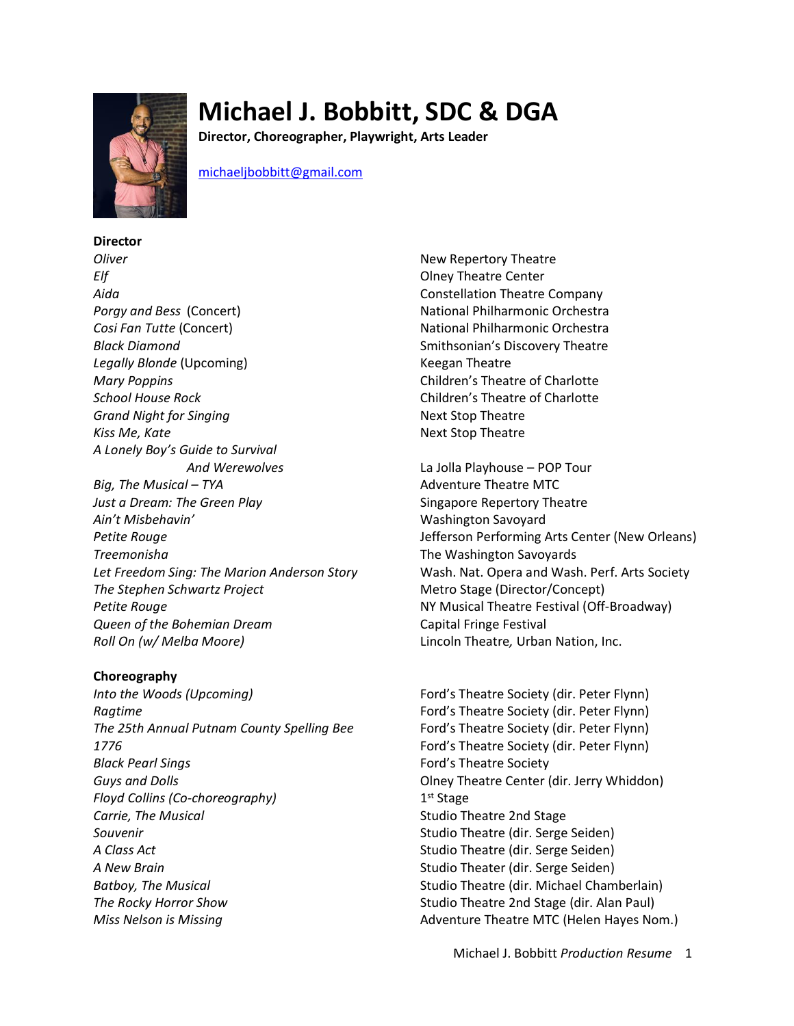

# **Michael J. Bobbitt, SDC & DGA**

**Director, Choreographer, Playwright, Arts Leader**

michaeljbobbitt@gmail.com

**Director** *Oliver* New Repertory Theatre *Elf* **College Center CENTER CENTER COLLEGE CONTRACT CONTRACT CENTER CENTER CENTER** *Aida* Constellation Theatre Company **Porgy and Bess** (Concert) **National Philharmonic Orchestra Cosi Fan Tutte (Concert)**  $\qquad \qquad$  National Philharmonic Orchestra **Black Diamond** Smithsonian's Discovery Theatre **Legally Blonde (Upcoming)** Change of the Keegan Theatre *Mary Poppins* Children's Theatre of Charlotte *School House Rock* Children's Theatre of Charlotte **Grand Night for Singing Community Community Community Community Community Community Community Community Community** Kiss Me, Kate **Next Stop Theatre** Next Stop Theatre *A Lonely Boy's Guide to Survival Big, The Musical – TYA* Adventure Theatre MTC *Just a Dream: The Green Play* Singapore Repertory Theatre *Ain't Misbehavin'* Washington Savoyard **Treemonisha** The Washington Savoyards *The Stephen Schwartz Project* **Metro Stage (Director/Concept) Petite Rouge NY Musical Theatre Festival (Off-Broadway)** *Queen of the Bohemian Dream* Capital Fringe Festival *Roll On (w/ Melba Moore)* Lincoln Theatre*,* Urban Nation, Inc.

## **Choreography**

*Into the Woods (Upcoming)* Ford's Theatre Society (dir. Peter Flynn) **Ragtime Ford's Theatre Society (dir. Peter Flynn**) *The 25th Annual Putnam County Spelling Bee* Ford's Theatre Society (dir. Peter Flynn) *1776* Ford's Theatre Society (dir. Peter Flynn) **Black Pearl Sings** Ford's Theatre Society **Guys and Dolls Cause 2 Colley Contract Center (dir. Jerry Whiddon)** *Floyd Collins (Co-choreography)* 1<sup>st</sup> Stage **Carrie, The Musical Carrie, The Musical Carrie, The Musical Carrie, Theorem 2nd Stage Souvenir** Summary Studio Theatre (dir. Serge Seiden) *A Class Act* **Studio Theatre (dir. Serge Seiden)** Studio Theatre (dir. Serge Seiden) *A New Brain* Studio Theater (dir. Serge Seiden) *Batboy, The Musical* Studio Theatre (dir. Michael Chamberlain) **The Rocky Horror Show Studio Theatre 2nd Stage (dir. Alan Paul)** Studio Theatre 2nd Stage (dir. Alan Paul) *Miss Nelson is Missing* **Adventure Theatre MTC (Helen Hayes Nom.)** Adventure Theatre MTC (Helen Hayes Nom.)

- 
- *And Werewolves* La Jolla Playhouse POP Tour *Petite Rouge* Jefferson Performing Arts Center (New Orleans) *Let Freedom Sing: The Marion Anderson Story* Wash. Nat. Opera and Wash. Perf. Arts Society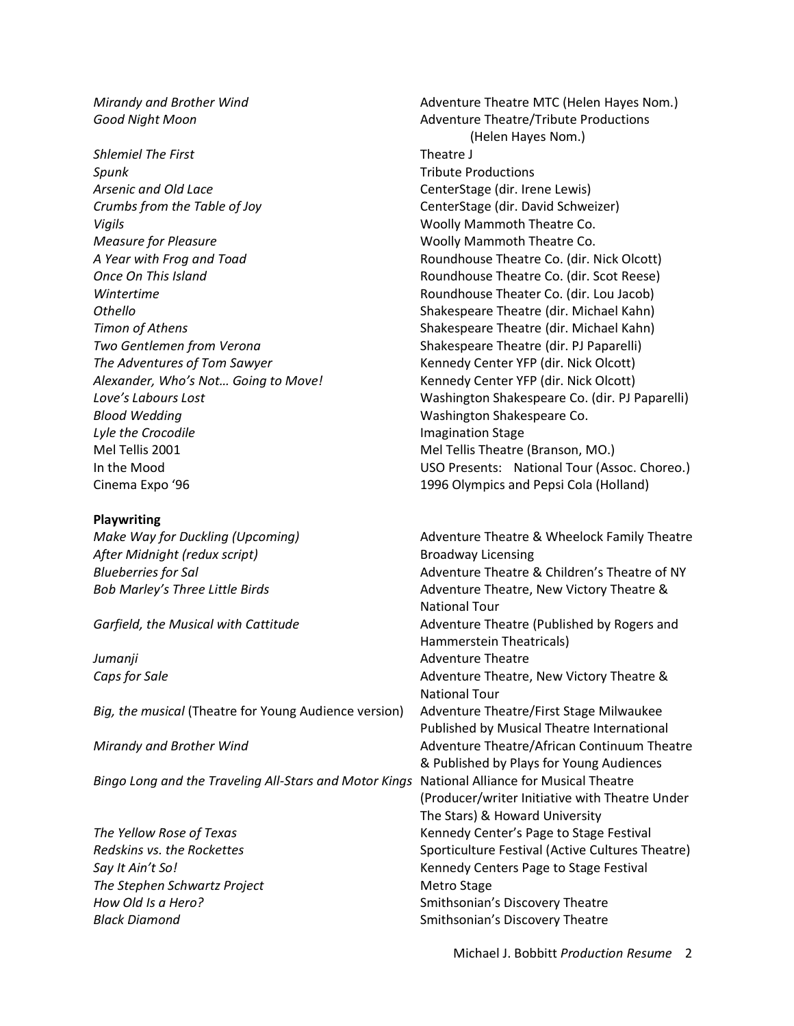**Shlemiel The First** Theatre J **Spunk** Tribute Productions *Arsenic and Old Lace* CenterStage (dir. Irene Lewis) *Crumbs from the Table of Joy* CenterStage (dir. David Schweizer) *Vigils* Woolly Mammoth Theatre Co. *Measure for Pleasure* Woolly Mammoth Theatre Co. *Wintertime* Roundhouse Theater Co. (dir. Lou Jacob) *Othello* Shakespeare Theatre (dir. Michael Kahn) *Timon of Athens* Shakespeare Theatre (dir. Michael Kahn) *Two Gentlemen from Verona* Shakespeare Theatre (dir. PJ Paparelli) *The Adventures of Tom Sawyer* Kennedy Center YFP (dir. Nick Olcott) *Alexander, Who's Not… Going to Move!* Kennedy Center YFP (dir. Nick Olcott) *Blood Wedding* Washington Shakespeare Co. *Lyle the Crocodile* **Imagination Stage** Mel Tellis 2001 Mel Tellis Theatre (Branson, MO.) Cinema Expo '96 1996 Olympics and Pepsi Cola (Holland)

#### **Playwriting**

After Midnight (redux script) and a series of the Broadway Licensing

*Big, the musical* (Theatre for Young Audience version) Adventure Theatre/First Stage Milwaukee

*Bingo Long and the Traveling All-Stars and Motor Kings* National Alliance for Musical Theatre

**The Stephen Schwartz Project** Metro Stage *Black Diamond* Smithsonian's Discovery Theatre

*Mirandy and Brother Wind* **Adventure Theatre MTC (Helen Hayes Nom.)** Adventure Theatre MTC (Helen Hayes Nom.) **Good Night Moon Adventure Theatre/Tribute Productions Adventure Theatre/Tribute Productions** (Helen Hayes Nom.) *A Year with Frog and Toad* Roundhouse Theatre Co. (dir. Nick Olcott) *Once On This Island* Roundhouse Theatre Co. (dir. Scot Reese) *Love's Labours Lost* Washington Shakespeare Co. (dir. PJ Paparelli) In the Mood USO Presents: National Tour (Assoc. Choreo.)

*Make Way for Duckling (Upcoming)* Adventure Theatre & Wheelock Family Theatre *Blueberries for Sal* Adventure Theatre & Children's Theatre of NY Bob Marley's Three Little Birds **Adventure Theatre, New Victory Theatre &** National Tour *Garfield, the Musical with Cattitude* Adventure Theatre (Published by Rogers and Hammerstein Theatricals) *Jumanji* **Adventure Theatre** *Adventure* Theatre **Caps for Sale** Caps for Sale Caps for Sale Caps for Sale Caps for Sale Caps for Sale Caps for Sale Caps for Sale Caps for Sale Caps for Sale Caps for Sale Caps for Sale Caps for Sale Caps for Sale Caps for Sale Caps for S National Tour Published by Musical Theatre International *Mirandy and Brother Wind* Adventure Theatre/African Continuum Theatre & Published by Plays for Young Audiences (Producer/writer Initiative with Theatre Under The Stars) & Howard University *The Yellow Rose of Texas* Kennedy Center's Page to Stage Festival *Redskins vs. the Rockettes* Sporticulture Festival (Active Cultures Theatre) **Say It Ain't So!** Kennedy Centers Page to Stage Festival *How Old Is a Hero?* **Smithsonian's Discovery Theatre Smithsonian's Discovery Theatre**